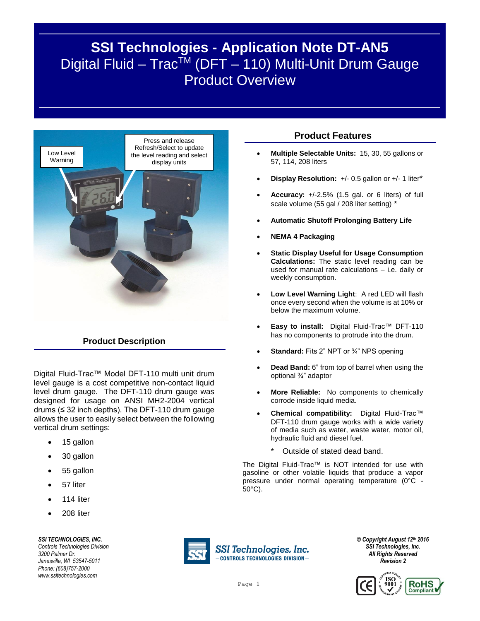# **SSI Technologies - Application Note DT-AN5** Digital Fluid – Trac<sup>TM</sup> (DFT – 110) Multi-Unit Drum Gauge **Product Overview**



#### **Product Description**

Digital Fluid-Trac™ Model DFT-110 multi unit drum level gauge is a cost competitive non-contact liquid level drum gauge. The DFT-110 drum gauge was designed for usage on ANSI MH2-2004 vertical drums  $(≤ 32$  inch depths). The DFT-110 drum gauge allows the user to easily select between the following vertical drum settings:

- 15 gallon
- 30 gallon
- 55 gallon
- 57 liter
- 114 liter
- 208 liter

*SSI TECHNOLOGIES, INC. Controls Technologies Division*

*3200 Palmer Dr. Janesville, WI 53547-5011 Phone: (608)757-2000 www.ssitechnologies.com*



SSI Technologies, Inc.  $-$ CONTROLS TECHNOLOGIES DIVISION $-$ 

#### *© Copyright August 12th 2016 SSI Technologies, Inc. All Rights Reserved Revision 2*



## **Product Features**

- **Multiple Selectable Units:** 15, 30, 55 gallons or 57, 114, 208 liters
- **Display Resolution:** +/- 0.5 gallon or +/- 1 liter\*
- **Accuracy:** +/-2.5% (1.5 gal. or 6 liters) of full scale volume (55 gal / 208 liter setting) \*
- **Automatic Shutoff Prolonging Battery Life**
- **NEMA 4 Packaging**
- **Static Display Useful for Usage Consumption Calculations:** The static level reading can be used for manual rate calculations – i.e. daily or weekly consumption.
- **Low Level Warning Light**: A red LED will flash once every second when the volume is at 10% or below the maximum volume.
- **Easy to install:** Digital Fluid-Trac™ DFT-110 has no components to protrude into the drum.
- **Standard:** Fits 2" NPT or ¾" NPS opening
- **Dead Band:** 6" from top of barrel when using the optional ¾" adaptor
- **More Reliable:** No components to chemically corrode inside liquid media.
- **Chemical compatibility:** Digital Fluid-Trac™ DFT-110 drum gauge works with a wide variety of media such as water, waste water, motor oil, hydraulic fluid and diesel fuel.
	- Outside of stated dead band.

The Digital Fluid-Trac™ is NOT intended for use with gasoline or other volatile liquids that produce a vapor pressure under normal operating temperature (0°C - 50°C).

Page 1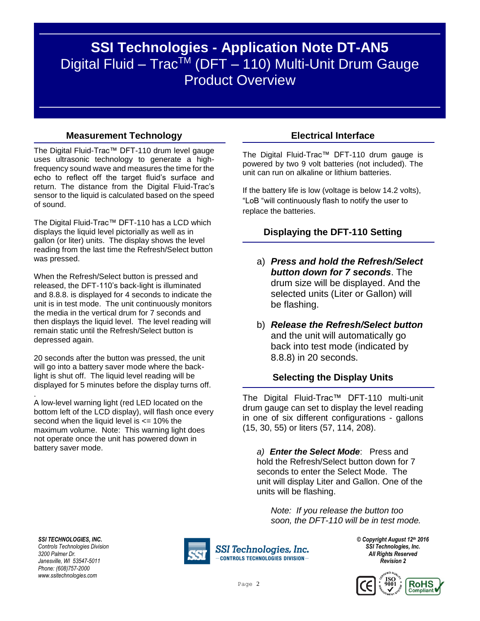# **SSI Technologies - Application Note DT-AN5** Digital Fluid – Trac<sup>TM</sup> (DFT – 110) Multi-Unit Drum Gauge Product Overview

### **Measurement Technology**

The Digital Fluid-Trac™ DFT-110 drum level gauge uses ultrasonic technology to generate a highfrequency sound wave and measures the time for the echo to reflect off the target fluid's surface and return. The distance from the Digital Fluid-Trac's sensor to the liquid is calculated based on the speed of sound.

The Digital Fluid-Trac™ DFT-110 has a LCD which displays the liquid level pictorially as well as in gallon (or liter) units. The display shows the level reading from the last time the Refresh/Select button was pressed.

When the Refresh/Select button is pressed and released, the DFT-110's back-light is illuminated and 8.8.8. is displayed for 4 seconds to indicate the unit is in test mode. The unit continuously monitors the media in the vertical drum for 7 seconds and then displays the liquid level. The level reading will remain static until the Refresh/Select button is depressed again.

20 seconds after the button was pressed, the unit will go into a battery saver mode where the backlight is shut off. The liquid level reading will be displayed for 5 minutes before the display turns off.

A low-level warning light (red LED located on the bottom left of the LCD display), will flash once every second when the liquid level is  $\epsilon$  = 10% the maximum volume. Note: This warning light does not operate once the unit has powered down in battery saver mode.

### **Electrical Interface**

The Digital Fluid-Trac™ DFT-110 drum gauge is powered by two 9 volt batteries (not included). The unit can run on alkaline or lithium batteries.

If the battery life is low (voltage is below 14.2 volts), "LoB "will continuously flash to notify the user to replace the batteries.

# **Displaying the DFT-110 Setting**

- a) *Press and hold the Refresh/Select button down for 7 seconds*. The drum size will be displayed. And the selected units (Liter or Gallon) will be flashing.
- b) *Release the Refresh/Select button* and the unit will automatically go back into test mode (indicated by 8.8.8) in 20 seconds.

#### **Selecting the Display Units**

The Digital Fluid-Trac™ DFT-110 multi-unit drum gauge can set to display the level reading in one of six different configurations - gallons (15, 30, 55) or liters (57, 114, 208).

*a) Enter the Select Mode*: Press and hold the Refresh/Select button down for 7 seconds to enter the Select Mode. The unit will display Liter and Gallon. One of the units will be flashing.

*Note: If you release the button too soon, the DFT-110 will be in test mode.* 

*SSI TECHNOLOGIES, INC. Controls Technologies Division 3200 Palmer Dr. Janesville, WI 53547-5011 Phone: (608)757-2000 www.ssitechnologies.com*

.



SSI Technologies, Inc. **CONTROLS TECHNOLOGIES DIVISION-**

*© Copyright August 12th 2016 SSI Technologies, Inc. All Rights Reserved Revision 2*

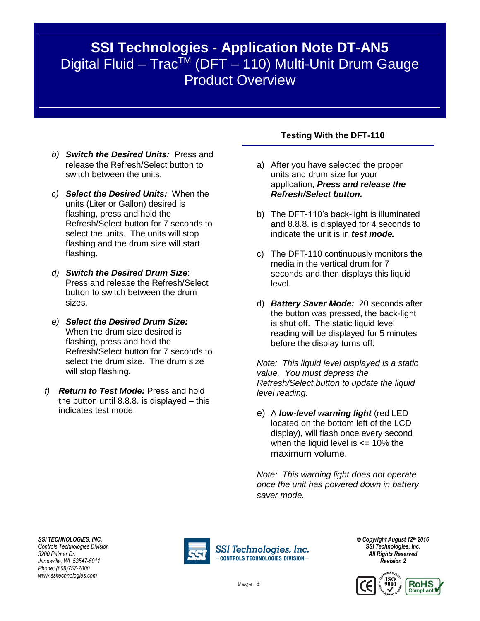# **SSI Technologies - Application Note DT-AN5** Digital Fluid – Trac<sup>TM</sup> (DFT – 110) Multi-Unit Drum Gauge Product Overview

- *b) Switch the Desired Units:* Press and release the Refresh/Select button to switch between the units.
- *c) Select the Desired Units:* When the units (Liter or Gallon) desired is flashing, press and hold the Refresh/Select button for 7 seconds to select the units. The units will stop flashing and the drum size will start flashing.
- *d) Switch the Desired Drum Size*: Press and release the Refresh/Select button to switch between the drum sizes.
- *e) Select the Desired Drum Size:*  When the drum size desired is flashing, press and hold the Refresh/Select button for 7 seconds to select the drum size. The drum size will stop flashing.
- *f) Return to Test Mode:* Press and hold the button until 8.8.8. is displayed – this indicates test mode.

### **Testing With the DFT-110**

- a) After you have selected the proper units and drum size for your application, *Press and release the Refresh/Select button.*
- b) The DFT-110's back-light is illuminated and 8.8.8. is displayed for 4 seconds to indicate the unit is in *test mode.*
- c) The DFT-110 continuously monitors the media in the vertical drum for 7 seconds and then displays this liquid level.
- d) *Battery Saver Mode:* 20 seconds after the button was pressed, the back-light is shut off. The static liquid level reading will be displayed for 5 minutes before the display turns off.

*Note: This liquid level displayed is a static value. You must depress the Refresh/Select button to update the liquid level reading.*

e) A *low-level warning light* (red LED located on the bottom left of the LCD display), will flash once every second when the liquid level is  $\epsilon$  = 10% the maximum volume.

*Note: This warning light does not operate once the unit has powered down in battery saver mode.* 

*SSI TECHNOLOGIES, INC. Controls Technologies Division 3200 Palmer Dr. Janesville, WI 53547-5011 Phone: (608)757-2000 www.ssitechnologies.com*



SSI Technologies, Inc. **CONTROLS TECHNOLOGIES DIVISION-**

*© Copyright August 12th 2016 SSI Technologies, Inc. All Rights Reserved Revision 2*